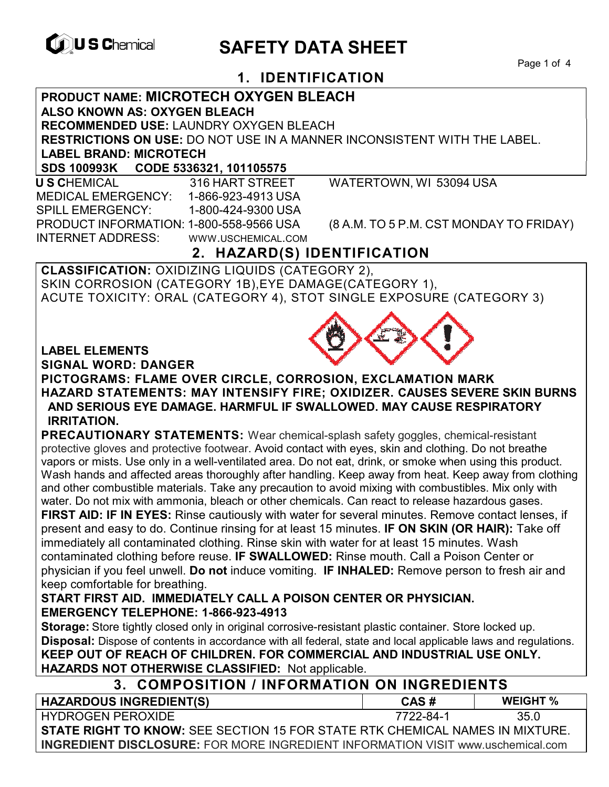

# **CONSCRIPTION SAFETY DATA SHEET**

Page 1 of 4

## **1. IDENTIFICATION**

**PRODUCT NAME: MICROTECH OXYGEN BLEACH** 

**ALSO KNOWN AS: OXYGEN BLEACH**

**RECOMMENDED USE:** LAUNDRY OXYGEN BLEACH

**RESTRICTIONS ON USE:** DO NOT USE IN A MANNER INCONSISTENT WITH THE LABEL.

**LABEL BRAND: MICROTECH**

**SDS 100993K CODE 5336321, 101105575** 

 **U S C**HEMICAL 316 HART STREET WATERTOWN, WI 53094 USA MEDICAL EMERGENCY: 1-866-923-4913 USA SPILL EMERGENCY: 1-800-424-9300 USA PRODUCT INFORMATION: 1-800-558-9566 USA (8 A.M. TO 5 P.M. CST MONDAY TO FRIDAY) INTERNET ADDRESS: WWW.USCHEMICAL.COM

## **2. HAZARD(S) IDENTIFICATION**

**CLASSIFICATION:** OXIDIZING LIQUIDS (CATEGORY 2), SKIN CORROSION (CATEGORY 1B),EYE DAMAGE(CATEGORY 1), ACUTE TOXICITY: ORAL (CATEGORY 4), STOT SINGLE EXPOSURE (CATEGORY 3)

#### **LABEL ELEMENTS**

**SIGNAL WORD: DANGER**

**PICTOGRAMS: FLAME OVER CIRCLE, CORROSION, EXCLAMATION MARK HAZARD STATEMENTS: MAY INTENSIFY FIRE; OXIDIZER. CAUSES SEVERE SKIN BURNS AND SERIOUS EYE DAMAGE. HARMFUL IF SWALLOWED. MAY CAUSE RESPIRATORY IRRITATION.** 

**PRECAUTIONARY STATEMENTS:** Wear chemical-splash safety goggles, chemical-resistant protective gloves and protective footwear. Avoid contact with eyes, skin and clothing. Do not breathe vapors or mists. Use only in a well-ventilated area. Do not eat, drink, or smoke when using this product. Wash hands and affected areas thoroughly after handling. Keep away from heat. Keep away from clothing and other combustible materials. Take any precaution to avoid mixing with combustibles. Mix only with water. Do not mix with ammonia, bleach or other chemicals. Can react to release hazardous gases. **FIRST AID: IF IN EYES:** Rinse cautiously with water for several minutes. Remove contact lenses, if present and easy to do. Continue rinsing for at least 15 minutes. **IF ON SKIN (OR HAIR):** Take off immediately all contaminated clothing. Rinse skin with water for at least 15 minutes. Wash contaminated clothing before reuse. **IF SWALLOWED:** Rinse mouth. Call a Poison Center or

physician if you feel unwell. **Do not** induce vomiting. **IF INHALED:** Remove person to fresh air and keep comfortable for breathing.

#### **START FIRST AID. IMMEDIATELY CALL A POISON CENTER OR PHYSICIAN. EMERGENCY TELEPHONE: 1-866-923-4913**

**Storage:** Store tightly closed only in original corrosive-resistant plastic container. Store locked up. **Disposal:** Dispose of contents in accordance with all federal, state and local applicable laws and regulations. **KEEP OUT OF REACH OF CHILDREN. FOR COMMERCIAL AND INDUSTRIAL USE ONLY. HAZARDS NOT OTHERWISE CLASSIFIED:** Not applicable.

## **3. COMPOSITION / INFORMATION ON INGREDIENTS**

| <b>HAZARDOUS INGREDIENT(S)</b>                                                         | CAS#      | <b>WEIGHT</b> % |  |  |
|----------------------------------------------------------------------------------------|-----------|-----------------|--|--|
| HYDROGEN PEROXIDE                                                                      | 7722-84-1 | 35 O            |  |  |
| <b>STATE RIGHT TO KNOW:</b> SEE SECTION 15 FOR STATE RTK CHEMICAL NAMES IN MIXTURE.    |           |                 |  |  |
| <b>INGREDIENT DISCLOSURE:</b> FOR MORE INGREDIENT INFORMATION VISIT www.uschemical.com |           |                 |  |  |

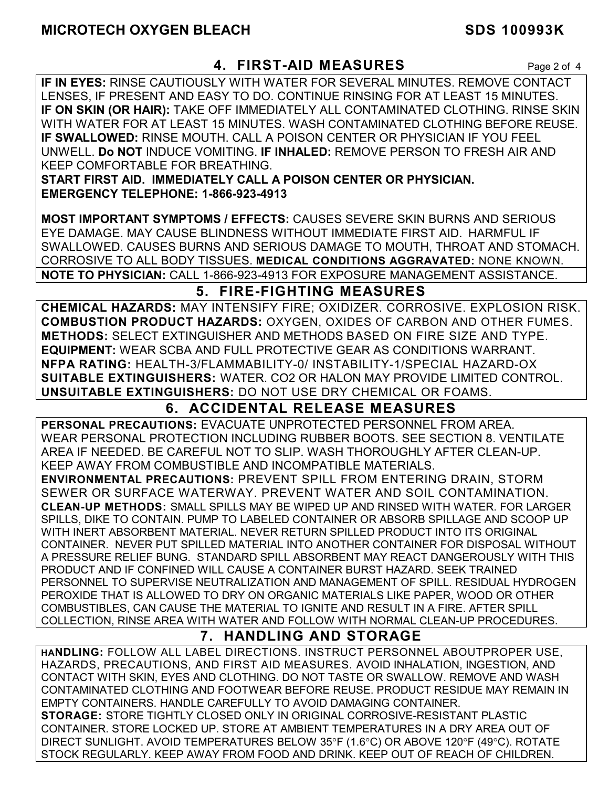## **4. FIRST-AID MEASURES** Page 2 of 4

**IF IN EYES:** RINSE CAUTIOUSLY WITH WATER FOR SEVERAL MINUTES. REMOVE CONTACT LENSES, IF PRESENT AND EASY TO DO. CONTINUE RINSING FOR AT LEAST 15 MINUTES. **IF ON SKIN (OR HAIR):** TAKE OFF IMMEDIATELY ALL CONTAMINATED CLOTHING. RINSE SKIN WITH WATER FOR AT LEAST 15 MINUTES. WASH CONTAMINATED CLOTHING BEFORE REUSE. **IF SWALLOWED:** RINSE MOUTH. CALL A POISON CENTER OR PHYSICIAN IF YOU FEEL UNWELL. **Do NOT** INDUCE VOMITING. **IF INHALED:** REMOVE PERSON TO FRESH AIR AND KEEP COMFORTABLE FOR BREATHING.

**START FIRST AID. IMMEDIATELY CALL A POISON CENTER OR PHYSICIAN. EMERGENCY TELEPHONE: 1-866-923-4913** 

**MOST IMPORTANT SYMPTOMS / EFFECTS:** CAUSES SEVERE SKIN BURNS AND SERIOUS EYE DAMAGE. MAY CAUSE BLINDNESS WITHOUT IMMEDIATE FIRST AID. HARMFUL IF SWALLOWED. CAUSES BURNS AND SERIOUS DAMAGE TO MOUTH, THROAT AND STOMACH. CORROSIVE TO ALL BODY TISSUES. **MEDICAL CONDITIONS AGGRAVATED:** NONE KNOWN. **NOTE TO PHYSICIAN:** CALL 1-866-923-4913 FOR EXPOSURE MANAGEMENT ASSISTANCE.

## **5. FIRE-FIGHTING MEASURES**

**CHEMICAL HAZARDS:** MAY INTENSIFY FIRE; OXIDIZER. CORROSIVE. EXPLOSION RISK. **COMBUSTION PRODUCT HAZARDS:** OXYGEN, OXIDES OF CARBON AND OTHER FUMES. **METHODS:** SELECT EXTINGUISHER AND METHODS BASED ON FIRE SIZE AND TYPE. **EQUIPMENT:** WEAR SCBA AND FULL PROTECTIVE GEAR AS CONDITIONS WARRANT. **NFPA RATING:** HEALTH-3/FLAMMABILITY-0/ INSTABILITY-1/SPECIAL HAZARD-OX **SUITABLE EXTINGUISHERS:** WATER. CO2 OR HALON MAY PROVIDE LIMITED CONTROL. **UNSUITABLE EXTINGUISHERS:** DO NOT USE DRY CHEMICAL OR FOAMS.

## **6. ACCIDENTAL RELEASE MEASURES**

**PERSONAL PRECAUTIONS:** EVACUATE UNPROTECTED PERSONNEL FROM AREA. WEAR PERSONAL PROTECTION INCLUDING RUBBER BOOTS. SEE SECTION 8. VENTILATE AREA IF NEEDED. BE CAREFUL NOT TO SLIP. WASH THOROUGHLY AFTER CLEAN-UP. KEEP AWAY FROM COMBUSTIBLE AND INCOMPATIBLE MATERIALS.

**ENVIRONMENTAL PRECAUTIONS:** PREVENT SPILL FROM ENTERING DRAIN, STORM SEWER OR SURFACE WATERWAY. PREVENT WATER AND SOIL CONTAMINATION. **CLEAN-UP METHODS:** SMALL SPILLS MAY BE WIPED UP AND RINSED WITH WATER. FOR LARGER SPILLS, DIKE TO CONTAIN. PUMP TO LABELED CONTAINER OR ABSORB SPILLAGE AND SCOOP UP WITH INERT ABSORBENT MATERIAL. NEVER RETURN SPILLED PRODUCT INTO ITS ORIGINAL CONTAINER. NEVER PUT SPILLED MATERIAL INTO ANOTHER CONTAINER FOR DISPOSAL WITHOUT A PRESSURE RELIEF BUNG. STANDARD SPILL ABSORBENT MAY REACT DANGEROUSLY WITH THIS PRODUCT AND IF CONFINED WILL CAUSE A CONTAINER BURST HAZARD. SEEK TRAINED PERSONNEL TO SUPERVISE NEUTRALIZATION AND MANAGEMENT OF SPILL. RESIDUAL HYDROGEN PEROXIDE THAT IS ALLOWED TO DRY ON ORGANIC MATERIALS LIKE PAPER, WOOD OR OTHER COMBUSTIBLES, CAN CAUSE THE MATERIAL TO IGNITE AND RESULT IN A FIRE. AFTER SPILL COLLECTION, RINSE AREA WITH WATER AND FOLLOW WITH NORMAL CLEAN-UP PROCEDURES.

## **7. HANDLING AND STORAGE**

**HANDLING:** FOLLOW ALL LABEL DIRECTIONS. INSTRUCT PERSONNEL ABOUTPROPER USE, HAZARDS, PRECAUTIONS, AND FIRST AID MEASURES. AVOID INHALATION, INGESTION, AND CONTACT WITH SKIN, EYES AND CLOTHING. DO NOT TASTE OR SWALLOW. REMOVE AND WASH CONTAMINATED CLOTHING AND FOOTWEAR BEFORE REUSE. PRODUCT RESIDUE MAY REMAIN IN EMPTY CONTAINERS. HANDLE CAREFULLY TO AVOID DAMAGING CONTAINER. **STORAGE:** STORE TIGHTLY CLOSED ONLY IN ORIGINAL CORROSIVE-RESISTANT PLASTIC CONTAINER. STORE LOCKED UP. STORE AT AMBIENT TEMPERATURES IN A DRY AREA OUT OF DIRECT SUNLIGHT. AVOID TEMPERATURES BELOW  $35^{\circ}F$  (1.6°C) OR ABOVE 120°F (49°C). ROTATE STOCK REGULARLY. KEEP AWAY FROM FOOD AND DRINK. KEEP OUT OF REACH OF CHILDREN.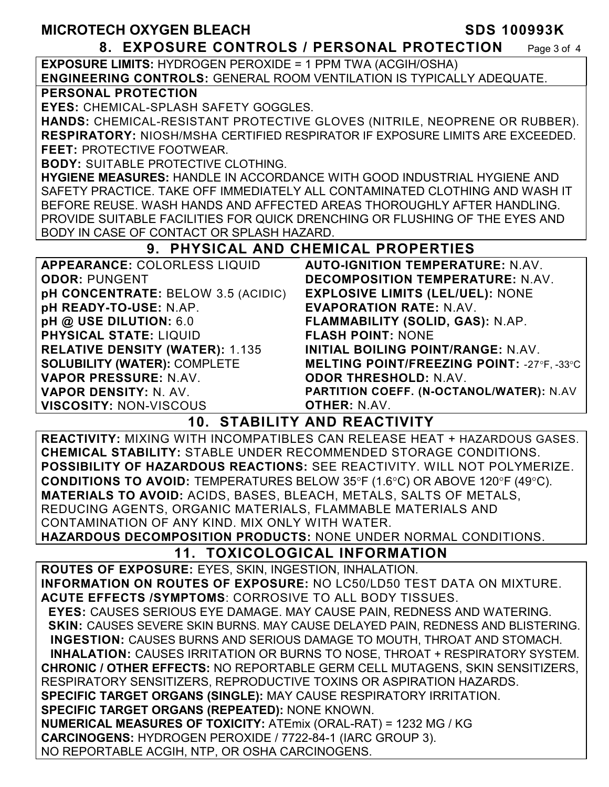#### **8. EXPOSURE CONTROLS / PERSONAL PROTECTION** Page 3 of 4

**EXPOSURE LIMITS:** HYDROGEN PEROXIDE = 1 PPM TWA (ACGIH/OSHA) **ENGINEERING CONTROLS:** GENERAL ROOM VENTILATION IS TYPICALLY ADEQUATE.

#### **PERSONAL PROTECTION**

**EYES:** CHEMICAL-SPLASH SAFETY GOGGLES.

**HANDS:** CHEMICAL-RESISTANT PROTECTIVE GLOVES (NITRILE, NEOPRENE OR RUBBER). **RESPIRATORY:** NIOSH/MSHA CERTIFIED RESPIRATOR IF EXPOSURE LIMITS ARE EXCEEDED. **FEET:** PROTECTIVE FOOTWEAR.

**BODY:** SUITABLE PROTECTIVE CLOTHING.

**HYGIENE MEASURES:** HANDLE IN ACCORDANCE WITH GOOD INDUSTRIAL HYGIENE AND SAFETY PRACTICE. TAKE OFF IMMEDIATELY ALL CONTAMINATED CLOTHING AND WASH IT BEFORE REUSE. WASH HANDS AND AFFECTED AREAS THOROUGHLY AFTER HANDLING. PROVIDE SUITABLE FACILITIES FOR QUICK DRENCHING OR FLUSHING OF THE EYES AND BODY IN CASE OF CONTACT OR SPLASH HAZARD.

#### **9. PHYSICAL AND CHEMICAL PROPERTIES**

| <b>APPEARANCE: COLORLESS LIQUID</b>    | <b>AUTO-IGNITION TEMPERATURE: N.AV.</b>           |
|----------------------------------------|---------------------------------------------------|
| <b>ODOR: PUNGENT</b>                   | <b>DECOMPOSITION TEMPERATURE: N.AV.</b>           |
| pH CONCENTRATE: BELOW 3.5 (ACIDIC)     | <b>EXPLOSIVE LIMITS (LEL/UEL): NONE</b>           |
| pH READY-TO-USE: N.AP.                 | <b>EVAPORATION RATE: N.AV.</b>                    |
| pH @ USE DILUTION: 6.0                 | FLAMMABILITY (SOLID, GAS): N.AP.                  |
| <b>PHYSICAL STATE: LIQUID</b>          | <b>FLASH POINT: NONE</b>                          |
| <b>RELATIVE DENSITY (WATER): 1.135</b> | INITIAL BOILING POINT/RANGE: N.AV.                |
| <b>SOLUBILITY (WATER): COMPLETE</b>    | <b>MELTING POINT/FREEZING POINT: -27°F, -33°C</b> |
| VAPOR PRESSURE: N.AV.                  | <b>ODOR THRESHOLD: N.AV.</b>                      |
| <b>VAPOR DENSITY: N. AV.</b>           | PARTITION COEFF. (N-OCTANOL/WATER): N.AV          |
| <b>VISCOSITY: NON-VISCOUS</b>          | <b>OTHER: N.AV.</b>                               |

#### **10. STABILITY AND REACTIVITY**

**REACTIVITY:** MIXING WITH INCOMPATIBLES CAN RELEASE HEAT + HAZARDOUS GASES. **CHEMICAL STABILITY:** STABLE UNDER RECOMMENDED STORAGE CONDITIONS. **POSSIBILITY OF HAZARDOUS REACTIONS:** SEE REACTIVITY. WILL NOT POLYMERIZE. **CONDITIONS TO AVOID:** TEMPERATURES BELOW 35°F (1.6°C) OR ABOVE 120°F (49°C). **MATERIALS TO AVOID:** ACIDS, BASES, BLEACH, METALS, SALTS OF METALS, REDUCING AGENTS, ORGANIC MATERIALS, FLAMMABLE MATERIALS AND CONTAMINATION OF ANY KIND. MIX ONLY WITH WATER.

**HAZARDOUS DECOMPOSITION PRODUCTS:** NONE UNDER NORMAL CONDITIONS.

## **11. TOXICOLOGICAL INFORMATION**

**ROUTES OF EXPOSURE:** EYES, SKIN, INGESTION, INHALATION. **INFORMATION ON ROUTES OF EXPOSURE:** NO LC50/LD50 TEST DATA ON MIXTURE. **ACUTE EFFECTS /SYMPTOMS**: CORROSIVE TO ALL BODY TISSUES.

 **EYES:** CAUSES SERIOUS EYE DAMAGE. MAY CAUSE PAIN, REDNESS AND WATERING. **SKIN: CAUSES SEVERE SKIN BURNS. MAY CAUSE DELAYED PAIN, REDNESS AND BLISTERING. INGESTION:** CAUSES BURNS AND SERIOUS DAMAGE TO MOUTH, THROAT AND STOMACH. **INHALATION:** CAUSES IRRITATION OR BURNS TO NOSE, THROAT + RESPIRATORY SYSTEM. **CHRONIC / OTHER EFFECTS:** NO REPORTABLE GERM CELL MUTAGENS, SKIN SENSITIZERS, RESPIRATORY SENSITIZERS, REPRODUCTIVE TOXINS OR ASPIRATION HAZARDS. **SPECIFIC TARGET ORGANS (SINGLE):** MAY CAUSE RESPIRATORY IRRITATION. **SPECIFIC TARGET ORGANS (REPEATED):** NONE KNOWN. **NUMERICAL MEASURES OF TOXICITY:** ATEmix (ORAL-RAT) = 1232 MG / KG **CARCINOGENS:** HYDROGEN PEROXIDE / 7722-84-1 (IARC GROUP 3).

NO REPORTABLE ACGIH, NTP, OR OSHA CARCINOGENS.